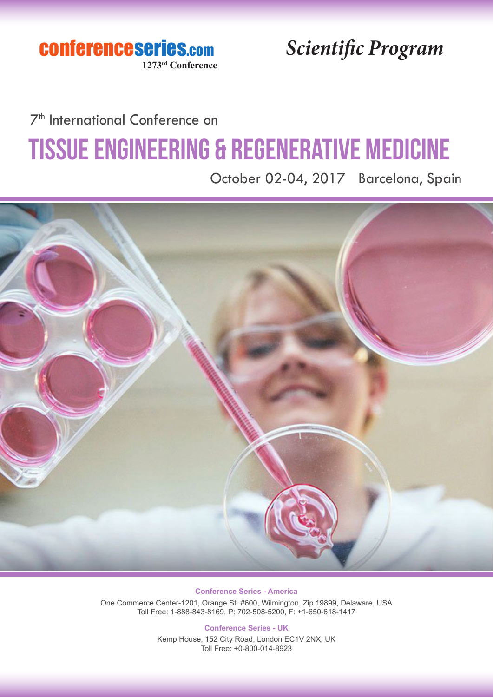conferenceseries.com **1273rd Conference**

*Scientific Program*

### 7<sup>th</sup> International Conference on

# Tissue Engineering & Regenerative Medicine

October 02-04, 2017 Barcelona, Spain



**Conference Series - America** One Commerce Center-1201, Orange St. #600, Wilmington, Zip 19899, Delaware, USA Toll Free: 1-888-843-8169, P: 702-508-5200, F: +1-650-618-1417

**Conference Series - UK**

Kemp House, 152 City Road, London EC1V 2NX, UK Toll Free: +0-800-014-8923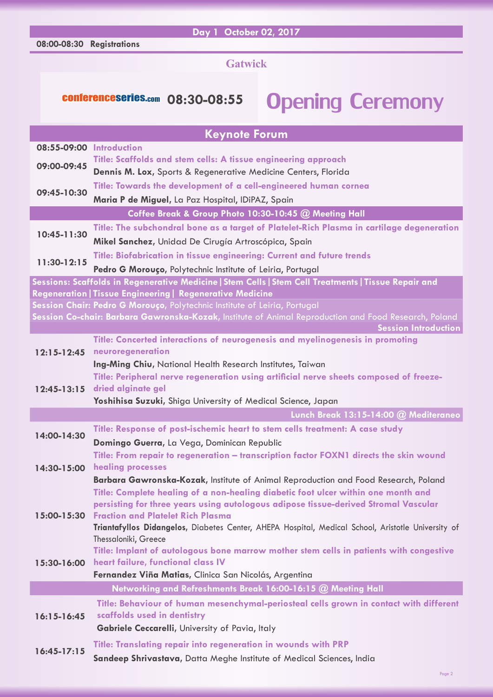#### **08:00-08:30 Registrations**

#### **Day 1 October 02, 2017**

#### **Gatwick**

### conferenceseries.com 08:30-08:55 Opening Ceremony

|                          | <b>Keynote Forum</b>                                                                                                                                                     |
|--------------------------|--------------------------------------------------------------------------------------------------------------------------------------------------------------------------|
| 08:55-09:00 Introduction |                                                                                                                                                                          |
| 09:00-09:45              | Title: Scaffolds and stem cells: A tissue engineering approach                                                                                                           |
|                          | Dennis M. Lox, Sports & Regenerative Medicine Centers, Florida                                                                                                           |
| 09:45-10:30              | Title: Towards the development of a cell-engineered human cornea                                                                                                         |
|                          | Maria P de Miguel, La Paz Hospital, IDiPAZ, Spain                                                                                                                        |
|                          | Coffee Break & Group Photo 10:30-10:45 @ Meeting Hall                                                                                                                    |
| 10:45-11:30              | Title: The subchondral bone as a target of Platelet-Rich Plasma in cartilage degeneration                                                                                |
|                          | Mikel Sanchez, Unidad De Cirugía Artroscópica, Spain                                                                                                                     |
| 11:30-12:15              | Title: Biofabrication in tissue engineering: Current and future trends                                                                                                   |
|                          | Pedro G Morouço, Polytechnic Institute of Leiria, Portugal<br>Sessions: Scaffolds in Regenerative Medicine   Stem Cells   Stem Cell Treatments   Tissue Repair and       |
|                          | Regeneration   Tissue Engineering   Regenerative Medicine                                                                                                                |
|                          | Session Chair: Pedro G Morouço, Polytechnic Institute of Leiria, Portugal                                                                                                |
|                          | Session Co-chair: Barbara Gawronska-Kozak, Institute of Animal Reproduction and Food Research, Poland                                                                    |
|                          | <b>Session Introduction</b>                                                                                                                                              |
| $12:15 - 12:45$          | Title: Concerted interactions of neurogenesis and myelinogenesis in promoting<br>neuroregeneration                                                                       |
|                          | Ing-Ming Chiu, National Health Research Institutes, Taiwan                                                                                                               |
|                          | Title: Peripheral nerve regeneration using artificial nerve sheets composed of freeze-                                                                                   |
| $12:45 - 13:15$          | dried alginate gel                                                                                                                                                       |
|                          |                                                                                                                                                                          |
|                          | Yoshihisa Suzuki, Shiga University of Medical Science, Japan                                                                                                             |
|                          | Lunch Break 13:15-14:00 @ Mediteraneo                                                                                                                                    |
|                          | Title: Response of post-ischemic heart to stem cells treatment: A case study                                                                                             |
| 14:00-14:30              | Domingo Guerra, La Vega, Dominican Republic                                                                                                                              |
|                          | Title: From repair to regeneration - transcription factor FOXN1 directs the skin wound                                                                                   |
| 14:30-15:00              | healing processes                                                                                                                                                        |
|                          | Barbara Gawronska-Kozak, Institute of Animal Reproduction and Food Research, Poland                                                                                      |
|                          | Title: Complete healing of a non-healing diabetic foot ulcer within one month and<br>persisting for three years using autologous adipose tissue-derived Stromal Vascular |
| 15:00-15:30              | <b>Fraction and Platelet Rich Plasma</b>                                                                                                                                 |
|                          | Triantafyllos Didangelos, Diabetes Center, AHEPA Hospital, Medical School, Aristotle University of                                                                       |
|                          | Thessaloniki, Greece                                                                                                                                                     |
|                          | Title: Implant of autologous bone marrow mother stem cells in patients with congestive                                                                                   |
| 15:30-16:00              | heart failure, functional class IV<br>Fernandez Viña Matias, Clinica San Nicolás, Argentina                                                                              |
|                          | Networking and Refreshments Break 16:00-16:15 @ Meeting Hall                                                                                                             |
|                          | Title: Behaviour of human mesenchymal-periosteal cells grown in contact with different                                                                                   |
| $16:15 - 16:45$          | scaffolds used in dentistry                                                                                                                                              |
|                          | Gabriele Ceccarelli, University of Pavia, Italy                                                                                                                          |
| $16:45-17:15$            | <b>Title: Translating repair into regeneration in wounds with PRP</b>                                                                                                    |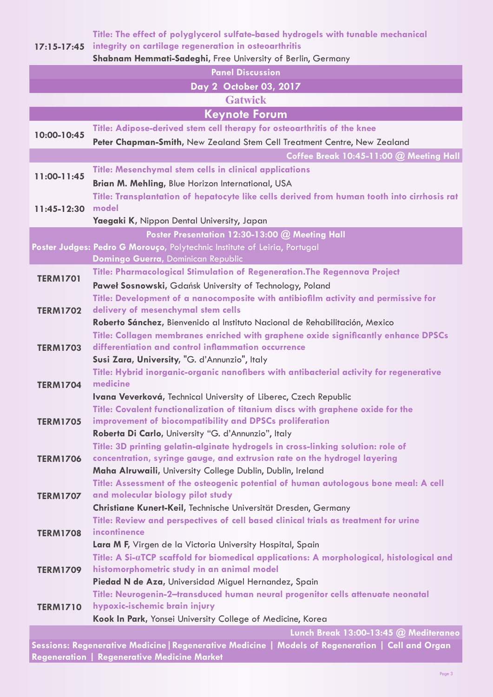**Title: The effect of polyglycerol sulfate-based hydrogels with tunable mechanical** 

**17:15-17:45 integrity on cartilage regeneration in osteoarthritis**

**Shabnam Hemmati-Sadeghi,** Free University of Berlin, Germany

**Panel Discussion** 

#### **Day 2 October 03, 2017**

#### **Gatwick**

### **Keynote Forum**

**10:00-10:45 Title: Adipose-derived stem cell therapy for osteoarthritis of the knee Peter Chapman-Smith,** New Zealand Stem Cell Treatment Centre, New Zealand **Coffee Break 10:45-11:00 @ Meeting Hall 11:00-11:45 Title: Mesenchymal stem cells in clinical applications Brian M. Mehling,** Blue Horizon International, USA **11:45-12:30 model Title: Transplantation of hepatocyte like cells derived from human tooth into cirrhosis rat** 

#### **Yaegaki K,** Nippon Dental University, Japan

#### **Poster Presentation 12:30-13:00 @ Meeting Hall**

- **Poster Judges: Pedro G Morouço,** Polytechnic Institute of Leiria, Portugal  **Domingo Guerra,** Dominican Republic
- **TERM1701 Title: Pharmacological Stimulation of Regeneration.The Regennova Project**
	- **Paweł Sosnowski,** Gdańsk University of Technology, Poland
		- **Title: Development of a nanocomposite with antibiofilm activity and permissive for**
- **TERM1702 delivery of mesenchymal stem cells Roberto Sánchez,** Bienvenido al Instituto Nacional de Rehabilitación, Mexico **Title: Collagen membranes enriched with graphene oxide significantly enhance DPSCs**
- **TERM1703 differentiation and control inflammation occurrence Susi Zara, University,** "G. d'Annunzio", Italy
- **TERM1704 Title: Hybrid inorganic-organic nanofibers with antibacterial activity for regenerative medicine**
	- **Ivana Veverková,** Technical University of Liberec, Czech Republic
- **TERM1705 Title: Covalent functionalization of titanium discs with graphene oxide for the improvement of biocompatibility and DPSCs proliferation**
	- **Roberta Di Carlo,** University "G. d'Annunzio", Italy
		- **Title: 3D printing gelatin-alginate hydrogels in cross-linking solution: role of**
- **TERM1706 concentration, syringe gauge, and extrusion rate on the hydrogel layering**
- **Maha Alruwaili,** University College Dublin, Dublin, Ireland **Title: Assessment of the osteogenic potential of human autologous bone meal: A cell**

#### **TERM1707 and molecular biology pilot study**

- **Christiane Kunert-Keil,** Technische Universität Dresden, Germany
- **TERM1708 Title: Review and perspectives of cell based clinical trials as treatment for urine incontinence**

### **Lara M F,** Virgen de la Victoria University Hospital, Spain

- **TERM1709 Title: A Si-αTCP scaffold for biomedical applications: A morphological, histological and histomorphometric study in an animal model**
	- **Piedad N de Aza,** Universidad Miguel Hernandez, Spain
- **TERM1710 Title: Neurogenin-2–transduced human neural progenitor cells attenuate neonatal hypoxic-ischemic brain injury**
	- **Kook In Park,** Yonsei University College of Medicine, Korea

#### **Lunch Break 13:00-13:45 @ Mediteraneo**

**Sessions: Regenerative Medicine|Regenerative Medicine | Models of Regeneration | Cell and Organ Regeneration | Regenerative Medicine Market**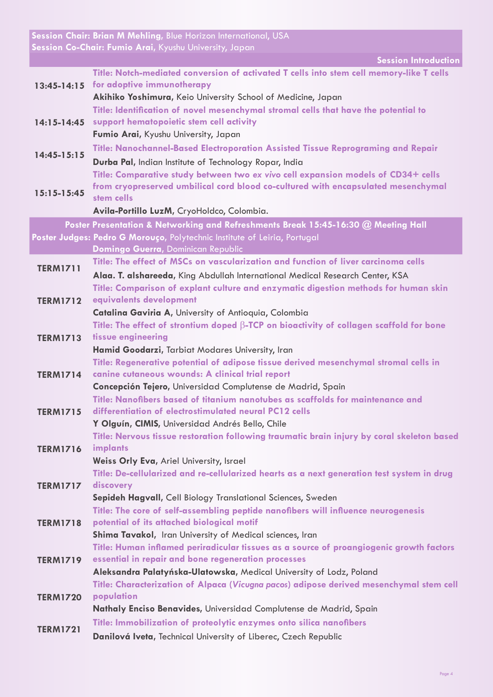**Session Chair: Brian M Mehling,** Blue Horizon International, USA **Session Co-Chair: Fumio Arai,** Kyushu University, Japan

**Session Introduction**

|                 | <b>PESSION INTOXICATION</b>                                                                                                        |
|-----------------|------------------------------------------------------------------------------------------------------------------------------------|
|                 | Title: Notch-mediated conversion of activated T cells into stem cell memory-like T cells<br>13:45-14:15 for adoptive immunotherapy |
|                 | Akihiko Yoshimura, Keio University School of Medicine, Japan                                                                       |
|                 | Title: Identification of novel mesenchymal stromal cells that have the potential to                                                |
| $14:15 - 14:45$ | support hematopoietic stem cell activity                                                                                           |
|                 | Fumio Arai, Kyushu University, Japan                                                                                               |
| $14:45-15:15$   | Title: Nanochannel-Based Electroporation Assisted Tissue Reprograming and Repair                                                   |
|                 | Durba Pal, Indian Institute of Technology Ropar, India                                                                             |
| $15:15-15:45$   | Title: Comparative study between two ex vivo cell expansion models of CD34+ cells                                                  |
|                 | from cryopreserved umbilical cord blood co-cultured with encapsulated mesenchymal<br>stem cells                                    |
|                 | Avila-Portillo LuzM, CryoHoldco, Colombia.                                                                                         |
|                 | Poster Presentation & Networking and Refreshments Break 15:45-16:30 @ Meeting Hall                                                 |
|                 | Poster Judges: Pedro G Morouço, Polytechnic Institute of Leiria, Portugal                                                          |
|                 | Domingo Guerra, Dominican Republic                                                                                                 |
| <b>TERM1711</b> | Title: The effect of MSCs on vascularization and function of liver carcinoma cells                                                 |
|                 | Alaa. T. alshareeda, King Abdullah International Medical Research Center, KSA                                                      |
|                 | Title: Comparison of explant culture and enzymatic digestion methods for human skin                                                |
| <b>TERM1712</b> | equivalents development                                                                                                            |
|                 | Catalina Gaviria A, University of Antioquia, Colombia                                                                              |
|                 | Title: The effect of strontium doped $\beta$ -TCP on bioactivity of collagen scaffold for bone                                     |
| <b>TERM1713</b> | tissue engineering                                                                                                                 |
|                 | Hamid Goodarzi, Tarbiat Modares University, Iran                                                                                   |
|                 | Title: Regenerative potential of adipose tissue derived mesenchymal stromal cells in                                               |
| <b>TERM1714</b> | canine cutaneous wounds: A clinical trial report<br>Concepción Tejero, Universidad Complutense de Madrid, Spain                    |
|                 | Title: Nanofibers based of titanium nanotubes as scaffolds for maintenance and                                                     |
| <b>TERM1715</b> | differentiation of electrostimulated neural PC12 cells                                                                             |
|                 | Y Olguín, CIMIS, Universidad Andrés Bello, Chile                                                                                   |
| <b>TERM1716</b> | Title: Nervous tissue restoration following traumatic brain injury by coral skeleton based                                         |
|                 | implants                                                                                                                           |
|                 | Weiss Orly Eva, Ariel University, Israel                                                                                           |
|                 | Title: De-cellularized and re-cellularized hearts as a next generation test system in drug                                         |
| <b>TERM1717</b> | discovery                                                                                                                          |
|                 | Sepideh Hagvall, Cell Biology Translational Sciences, Sweden                                                                       |
| <b>TERM1718</b> | Title: The core of self-assembling peptide nanofibers will influence neurogenesis<br>potential of its attached biological motif    |
|                 | <b>Shima Tavakol, Iran University of Medical sciences, Iran</b>                                                                    |
|                 | Title: Human inflamed periradicular tissues as a source of proangiogenic growth factors                                            |
| <b>TERM1719</b> | essential in repair and bone regeneration processes                                                                                |
|                 | Aleksandra Palatyńska-Ulatowska, Medical University of Lodz, Poland                                                                |
| <b>TERM1720</b> | Title: Characterization of Alpaca (Vicugna pacos) adipose derived mesenchymal stem cell                                            |
|                 | population                                                                                                                         |
|                 | Nathaly Enciso Benavides, Universidad Complutense de Madrid, Spain                                                                 |
| <b>TERM1721</b> | Title: Immobilization of proteolytic enzymes onto silica nanofibers                                                                |
|                 | Danilová Iveta, Technical University of Liberec, Czech Republic                                                                    |